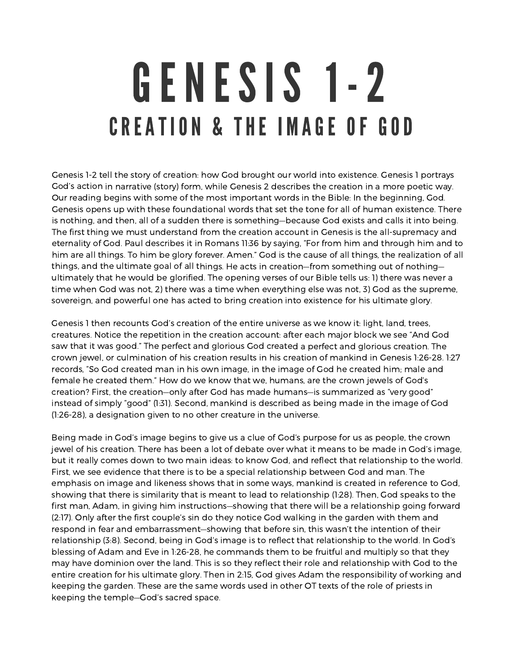## GENESIS 1-2 CREATION & THE IMAGE OF GOD

Genesis 1-2 tell the story of creation: how God brought our world into existence. Genesis 1 portrays God's action in narrative (story) form, while Genesis 2 describes the creation in <sup>a</sup> more poetic way. Our reading begins with some of the most important words in the Bible: In the beginning, God. Genesis opens up with these foundational words that set the tone for all of human existence. There is nothing, and then, all of <sup>a</sup> sudden there is something—because God exists and calls it into being. The first thing we must understand from the creation account in Genesis is the all-supremacy and eternality of God. Paul describes it in Romans 11:36 by saying, "For from him and through him and to him are all things. To him be glory forever. Amen." God is the cause of all things, the realization of all things, and the ultimate goal of all things. He acts in creation—from something out of nothing ultimately that he would be glorified. The opening verses of our Bible tells us: 1) there was never <sup>a</sup> time when God was not, 2) there was <sup>a</sup> time when everything else was not, 3) God as the supreme, sovereign, and powerful one has acted to bring creation into existence for his ultimate glory.

Genesis 1 then recounts God's creation of the entire universe as we know it: light, land, trees, creatures. Notice the repetition in the creation account: after each major block we see "And God saw that it was good." The perfect and glorious God created <sup>a</sup> perfect and glorious creation. The crown jewel, or culmination of his creation results in his creation of mankind in Genesis 1:26-28. 1:27 records, "So God created man in his own image, in the image of God he created him; male and female he created them." How do we know that we, humans, are the crown jewels of God's creation? First, the creation—only after God has made humans—is summarized as "very good" instead of simply "good" (1:31). Second, mankind is described as being made in the image of God (1:26-28), <sup>a</sup> designation given to no other creature in the universe.

Being made in God's image begins to give us <sup>a</sup> clue of God's purpose for us as people, the crown jewel of his creation. There has been <sup>a</sup> lot of debate over what it means to be made in God's image, but it really comes down to two main ideas: to know God, and reflect that relationship to the world. First, we see evidence that there is to be <sup>a</sup> special relationship between God and man. The emphasis on image and likeness shows that in some ways, mankind is created in reference to God, showing that there is similarity that is meant to lead to relationship (1:28). Then, God speaks to the first man, Adam, in giving him instructions—showing that there will be <sup>a</sup> relationship going forward (2:17). Only after the first couple's sin do they notice God walking in the garden with them and respond in fear and embarrassment—showing that before sin, this wasn't the intention of their relationship (3:8). Second, being in God's image is to reflect that relationship to the world. In God's blessing of Adam and Eve in 1:26-28, he commands them to be fruitful and multiply so that they may have dominion over the land. This is so they reflect their role and relationship with God to the entire creation for his ultimate glory. Then in 2:15, God gives Adam the responsibility of working and keeping the garden. These are the same words used in other OT texts of the role of priests in keeping the temple—God's sacred space.